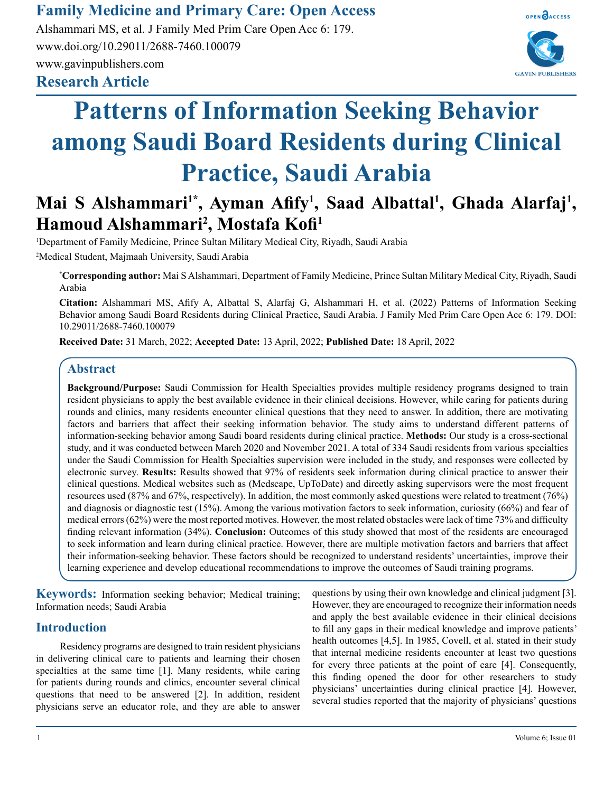### **Family Medicine and Primary Care: Open Access**

**Research Article** Alshammari MS, et al. J Family Med Prim Care Open Acc 6: 179. www.doi.org/10.29011/2688-7460.100079 www.gavinpublishers.com



# **Patterns of Information Seeking Behavior among Saudi Board Residents during Clinical Practice, Saudi Arabia**

## Mai S Alshammari<sup>1\*</sup>, Ayman Afify<sup>1</sup>, Saad Albattal<sup>1</sup>, Ghada Alarfaj<sup>1</sup>, **Hamoud Alshammari2 , Mostafa Kofi<sup>1</sup>**

1 Department of Family Medicine, Prince Sultan Military Medical City, Riyadh, Saudi Arabia 2 Medical Student, Majmaah University, Saudi Arabia

**\* Corresponding author:** Mai S Alshammari, Department of Family Medicine, Prince Sultan Military Medical City, Riyadh, Saudi Arabia

**Citation:** Alshammari MS, Afify A, Albattal S, Alarfaj G, Alshammari H, et al. (2022) Patterns of Information Seeking Behavior among Saudi Board Residents during Clinical Practice, Saudi Arabia. J Family Med Prim Care Open Acc 6: 179. DOI: 10.29011/2688-7460.100079

**Received Date:** 31 March, 2022; **Accepted Date:** 13 April, 2022; **Published Date:** 18 April, 2022

#### **Abstract**

**Background/Purpose:** Saudi Commission for Health Specialties provides multiple residency programs designed to train resident physicians to apply the best available evidence in their clinical decisions. However, while caring for patients during rounds and clinics, many residents encounter clinical questions that they need to answer. In addition, there are motivating factors and barriers that affect their seeking information behavior. The study aims to understand different patterns of information-seeking behavior among Saudi board residents during clinical practice. **Methods:** Our study is a cross-sectional study, and it was conducted between March 2020 and November 2021. A total of 334 Saudi residents from various specialties under the Saudi Commission for Health Specialties supervision were included in the study, and responses were collected by electronic survey. **Results:** Results showed that 97% of residents seek information during clinical practice to answer their clinical questions. Medical websites such as (Medscape, UpToDate) and directly asking supervisors were the most frequent resources used (87% and 67%, respectively). In addition, the most commonly asked questions were related to treatment (76%) and diagnosis or diagnostic test (15%). Among the various motivation factors to seek information, curiosity (66%) and fear of medical errors (62%) were the most reported motives. However, the most related obstacles were lack of time 73% and difficulty finding relevant information (34%). **Conclusion:** Outcomes of this study showed that most of the residents are encouraged to seek information and learn during clinical practice. However, there are multiple motivation factors and barriers that affect their information-seeking behavior. These factors should be recognized to understand residents' uncertainties, improve their learning experience and develop educational recommendations to improve the outcomes of Saudi training programs.

**Keywords:** Information seeking behavior; Medical training; Information needs; Saudi Arabia

#### **Introduction**

Residency programs are designed to train resident physicians in delivering clinical care to patients and learning their chosen specialties at the same time [1]. Many residents, while caring for patients during rounds and clinics, encounter several clinical questions that need to be answered [2]. In addition, resident physicians serve an educator role, and they are able to answer questions by using their own knowledge and clinical judgment [3]. However, they are encouraged to recognize their information needs and apply the best available evidence in their clinical decisions to fill any gaps in their medical knowledge and improve patients' health outcomes [4,5]. In 1985, Covell, et al. stated in their study that internal medicine residents encounter at least two questions for every three patients at the point of care [4]. Consequently, this finding opened the door for other researchers to study physicians' uncertainties during clinical practice [4]. However, several studies reported that the majority of physicians' questions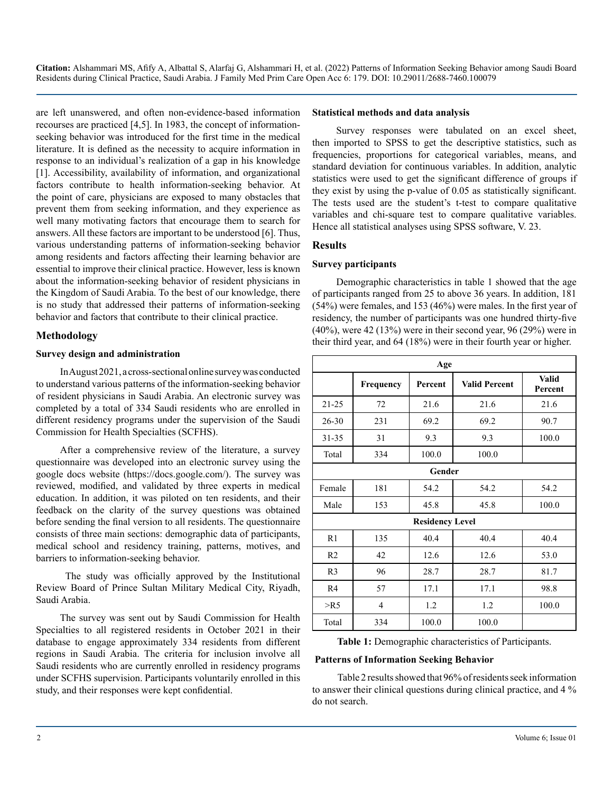are left unanswered, and often non-evidence-based information recourses are practiced [4,5]. In 1983, the concept of informationseeking behavior was introduced for the first time in the medical literature. It is defined as the necessity to acquire information in response to an individual's realization of a gap in his knowledge [1]. Accessibility, availability of information, and organizational factors contribute to health information-seeking behavior. At the point of care, physicians are exposed to many obstacles that prevent them from seeking information, and they experience as well many motivating factors that encourage them to search for answers. All these factors are important to be understood [6]. Thus, various understanding patterns of information-seeking behavior among residents and factors affecting their learning behavior are essential to improve their clinical practice. However, less is known about the information-seeking behavior of resident physicians in the Kingdom of Saudi Arabia. To the best of our knowledge, there is no study that addressed their patterns of information-seeking behavior and factors that contribute to their clinical practice.

#### **Methodology**

#### **Survey design and administration**

In August 2021, a cross-sectional online survey was conducted to understand various patterns of the information-seeking behavior of resident physicians in Saudi Arabia. An electronic survey was completed by a total of 334 Saudi residents who are enrolled in different residency programs under the supervision of the Saudi Commission for Health Specialties (SCFHS).

After a comprehensive review of the literature, a survey questionnaire was developed into an electronic survey using the google docs website (<https://docs.google.com/>). The survey was reviewed, modified, and validated by three experts in medical education. In addition, it was piloted on ten residents, and their feedback on the clarity of the survey questions was obtained before sending the final version to all residents. The questionnaire consists of three main sections: demographic data of participants, medical school and residency training, patterns, motives, and barriers to information-seeking behavior.

 The study was officially approved by the Institutional Review Board of Prince Sultan Military Medical City, Riyadh, Saudi Arabia.

The survey was sent out by Saudi Commission for Health Specialties to all registered residents in October 2021 in their database to engage approximately 334 residents from different regions in Saudi Arabia. The criteria for inclusion involve all Saudi residents who are currently enrolled in residency programs under SCFHS supervision. Participants voluntarily enrolled in this study, and their responses were kept confidential.

#### **Statistical methods and data analysis**

Survey responses were tabulated on an excel sheet, then imported to SPSS to get the descriptive statistics, such as frequencies, proportions for categorical variables, means, and standard deviation for continuous variables. In addition, analytic statistics were used to get the significant difference of groups if they exist by using the p-value of 0.05 as statistically significant. The tests used are the student's t-test to compare qualitative variables and chi-square test to compare qualitative variables. Hence all statistical analyses using SPSS software, V. 23.

#### **Results**

#### **Survey participants**

Demographic characteristics in table 1 showed that the age of participants ranged from 25 to above 36 years. In addition, 181 (54%) were females, and 153 (46%) were males. In the first year of residency, the number of participants was one hundred thirty-five (40%), were 42 (13%) were in their second year, 96 (29%) were in their third year, and 64 (18%) were in their fourth year or higher.

|                | Age       |                        |                      |                         |  |  |
|----------------|-----------|------------------------|----------------------|-------------------------|--|--|
|                | Frequency | Percent                | <b>Valid Percent</b> | <b>Valid</b><br>Percent |  |  |
| $21 - 25$      | 72        | 21.6                   | 21.6                 | 21.6                    |  |  |
| $26 - 30$      | 231       | 69.2                   | 69.2                 | 90.7                    |  |  |
| $31 - 35$      | 31        | 9.3                    | 9.3                  | 100.0                   |  |  |
| Total          | 334       | 100.0                  | 100.0                |                         |  |  |
|                |           | Gender                 |                      |                         |  |  |
| Female         | 181       | 54.2                   | 54.2                 | 54.2                    |  |  |
| Male           | 153       | 45.8                   | 45.8                 | 100.0                   |  |  |
|                |           | <b>Residency Level</b> |                      |                         |  |  |
| R1             | 135       | 40.4                   | 40.4                 | 40.4                    |  |  |
| R <sub>2</sub> | 42        | 12.6                   | 12.6                 | 53.0                    |  |  |
| R <sub>3</sub> | 96        | 28.7                   | 28.7                 | 81.7                    |  |  |
| R4             | 57        | 17.1                   | 17.1                 | 98.8                    |  |  |
| $>$ R5         | 4         | 1.2                    | 1.2                  | 100.0                   |  |  |
| Total          | 334       | 100.0                  | 100.0                |                         |  |  |

**Table 1:** Demographic characteristics of Participants.

#### **Patterns of Information Seeking Behavior**

 Table 2 results showed that 96% of residents seek information to answer their clinical questions during clinical practice, and 4 % do not search.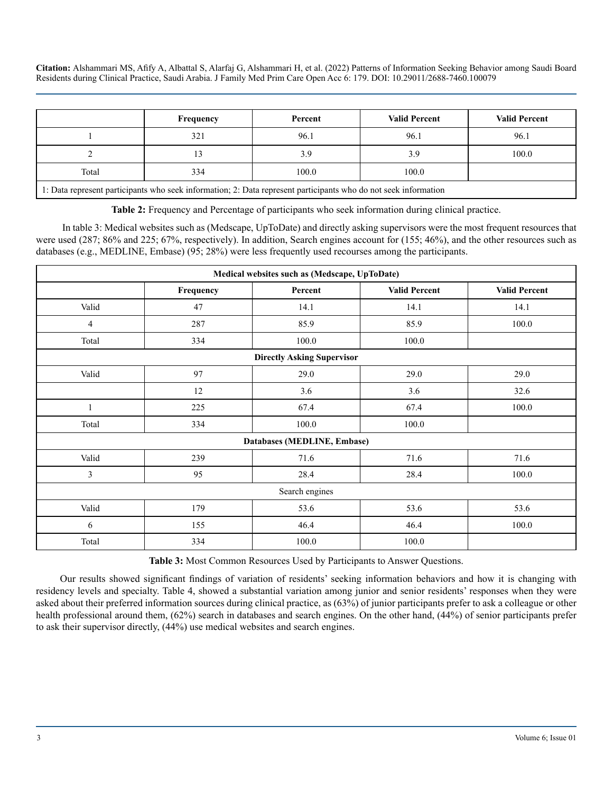|                                                                                                                 | Frequency | Percent | <b>Valid Percent</b> | <b>Valid Percent</b> |  |
|-----------------------------------------------------------------------------------------------------------------|-----------|---------|----------------------|----------------------|--|
|                                                                                                                 | 321       | 96.1    | 96.1                 | 96.1                 |  |
|                                                                                                                 | 13        | 3.9     | 3.9                  | 100.0                |  |
| Total                                                                                                           | 334       | 100.0   | 100.0                |                      |  |
| 1: Data represent participants who seek information; 2: Data represent participants who do not seek information |           |         |                      |                      |  |

**Table 2:** Frequency and Percentage of participants who seek information during clinical practice.

 In table 3: Medical websites such as (Medscape, UpToDate) and directly asking supervisors were the most frequent resources that were used (287; 86% and 225; 67%, respectively). In addition, Search engines account for (155; 46%), and the other resources such as databases (e.g., MEDLINE, Embase) (95; 28%) were less frequently used recourses among the participants.

|                | Medical websites such as (Medscape, UpToDate) |                                   |                      |                      |  |  |
|----------------|-----------------------------------------------|-----------------------------------|----------------------|----------------------|--|--|
|                | Frequency                                     | Percent                           | <b>Valid Percent</b> | <b>Valid Percent</b> |  |  |
| Valid          | 47                                            | 14.1                              | 14.1                 | 14.1                 |  |  |
| 4              | 287                                           | 85.9                              | 85.9                 | 100.0                |  |  |
| Total          | 334                                           | 100.0                             | 100.0                |                      |  |  |
|                |                                               | <b>Directly Asking Supervisor</b> |                      |                      |  |  |
| Valid          | 97                                            | 29.0                              | 29.0                 | 29.0                 |  |  |
|                | 12                                            | 3.6                               | 3.6                  | 32.6                 |  |  |
|                | 225                                           | 67.4                              | 67.4                 | 100.0                |  |  |
| Total          | 334                                           | 100.0                             | 100.0                |                      |  |  |
|                |                                               | Databases (MEDLINE, Embase)       |                      |                      |  |  |
| Valid          | 239                                           | 71.6                              | 71.6                 | 71.6                 |  |  |
| 3              | 95                                            | 28.4                              | 28.4                 | 100.0                |  |  |
| Search engines |                                               |                                   |                      |                      |  |  |
| Valid          | 179                                           | 53.6                              | 53.6                 | 53.6                 |  |  |
| 6              | 155                                           | 46.4                              | 46.4                 | 100.0                |  |  |
| Total          | 334                                           | 100.0                             | 100.0                |                      |  |  |

**Table 3:** Most Common Resources Used by Participants to Answer Questions.

Our results showed significant findings of variation of residents' seeking information behaviors and how it is changing with residency levels and specialty. Table 4, showed a substantial variation among junior and senior residents' responses when they were asked about their preferred information sources during clinical practice, as (63%) of junior participants prefer to ask a colleague or other health professional around them, (62%) search in databases and search engines. On the other hand, (44%) of senior participants prefer to ask their supervisor directly, (44%) use medical websites and search engines.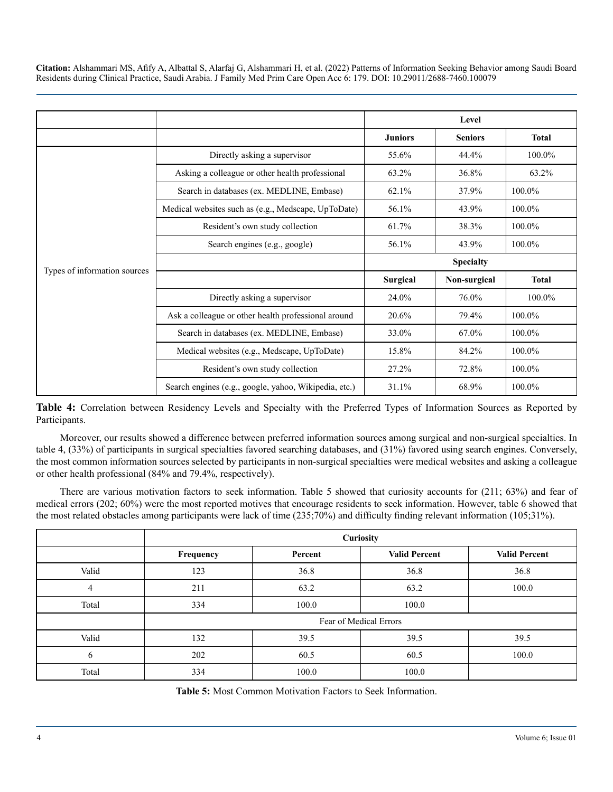|                              |                                                       |                  | Level          |              |
|------------------------------|-------------------------------------------------------|------------------|----------------|--------------|
|                              |                                                       | <b>Juniors</b>   | <b>Seniors</b> | <b>Total</b> |
|                              | Directly asking a supervisor                          | 55.6%            | 44.4%          | 100.0%       |
|                              | Asking a colleague or other health professional       | 63.2%            | 36.8%          | 63.2%        |
|                              | Search in databases (ex. MEDLINE, Embase)             | 62.1%            | 37.9%          | 100.0%       |
|                              | Medical websites such as (e.g., Medscape, UpToDate)   | 56.1%            | 43.9%          | 100.0%       |
|                              | Resident's own study collection                       | 61.7%            | 38.3%          | 100.0%       |
|                              | Search engines (e.g., google)                         | 56.1%            | 43.9%          | 100.0%       |
|                              |                                                       | <b>Specialty</b> |                |              |
| Types of information sources |                                                       | <b>Surgical</b>  | Non-surgical   | <b>Total</b> |
|                              | Directly asking a supervisor                          | 24.0%            | 76.0%          | 100.0%       |
|                              | Ask a colleague or other health professional around   | 20.6%            | 79.4%          | 100.0%       |
|                              | Search in databases (ex. MEDLINE, Embase)             | 33.0%            | 67.0%          | 100.0%       |
|                              | Medical websites (e.g., Medscape, UpToDate)           | 15.8%            | 84.2%          | 100.0%       |
|                              | Resident's own study collection                       | 27.2%            | 72.8%          | 100.0%       |
|                              | Search engines (e.g., google, yahoo, Wikipedia, etc.) | 31.1%            | 68.9%          | 100.0%       |

**Table 4:** Correlation between Residency Levels and Specialty with the Preferred Types of Information Sources as Reported by Participants.

Moreover, our results showed a difference between preferred information sources among surgical and non-surgical specialties. In table 4, (33%) of participants in surgical specialties favored searching databases, and (31%) favored using search engines. Conversely, the most common information sources selected by participants in non-surgical specialties were medical websites and asking a colleague or other health professional (84% and 79.4%, respectively).

There are various motivation factors to seek information. Table 5 showed that curiosity accounts for (211; 63%) and fear of medical errors (202; 60%) were the most reported motives that encourage residents to seek information. However, table 6 showed that the most related obstacles among participants were lack of time (235;70%) and difficulty finding relevant information (105;31%).

|       | Curiosity              |         |                      |                      |  |
|-------|------------------------|---------|----------------------|----------------------|--|
|       | Frequency              | Percent | <b>Valid Percent</b> | <b>Valid Percent</b> |  |
| Valid | 123                    | 36.8    | 36.8                 | 36.8                 |  |
| 4     | 211                    | 63.2    | 63.2                 | 100.0                |  |
| Total | 334                    | 100.0   | 100.0                |                      |  |
|       | Fear of Medical Errors |         |                      |                      |  |
| Valid | 132                    | 39.5    | 39.5                 | 39.5                 |  |
| 6     | 202                    | 60.5    | 60.5                 | 100.0                |  |
| Total | 334                    | 100.0   | 100.0                |                      |  |

**Table 5:** Most Common Motivation Factors to Seek Information.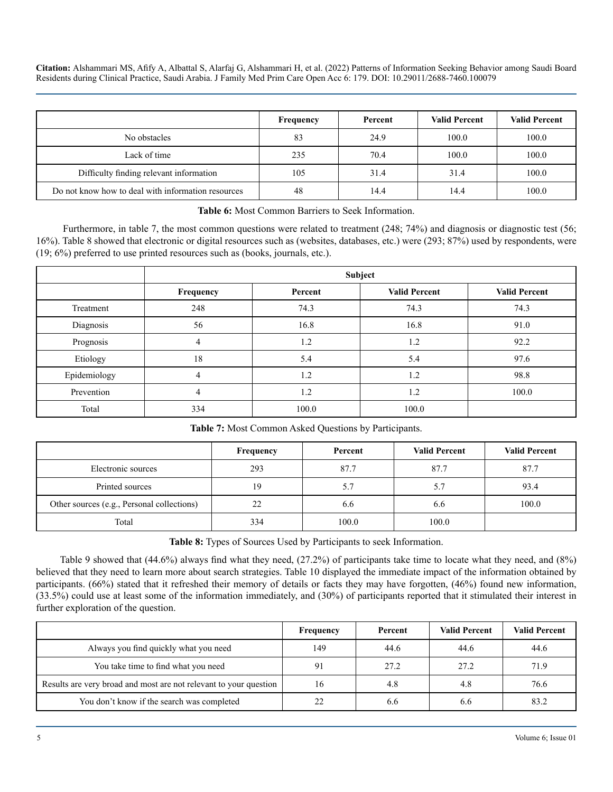|                                                    | Frequency | Percent | <b>Valid Percent</b> | <b>Valid Percent</b> |
|----------------------------------------------------|-----------|---------|----------------------|----------------------|
| No obstacles                                       | 83        | 24.9    | 100.0                | 100.0                |
| Lack of time                                       | 235       | 70.4    | 100.0                | 100.0                |
| Difficulty finding relevant information            | 105       | 31.4    | 31.4                 | 100.0                |
| Do not know how to deal with information resources | 48        | 14.4    | 14.4                 | 100.0                |

#### **Table 6:** Most Common Barriers to Seek Information.

Furthermore, in table 7, the most common questions were related to treatment (248; 74%) and diagnosis or diagnostic test (56; 16%). Table 8 showed that electronic or digital resources such as (websites, databases, etc.) were (293; 87%) used by respondents, were (19; 6%) preferred to use printed resources such as (books, journals, etc.).

|              | Subject        |         |                      |                      |  |
|--------------|----------------|---------|----------------------|----------------------|--|
|              | Frequency      | Percent | <b>Valid Percent</b> | <b>Valid Percent</b> |  |
| Treatment    | 248            | 74.3    | 74.3                 | 74.3                 |  |
| Diagnosis    | 56             | 16.8    | 16.8                 | 91.0                 |  |
| Prognosis    | $\overline{4}$ | 1.2     | 1.2                  | 92.2                 |  |
| Etiology     | 18             | 5.4     | 5.4                  | 97.6                 |  |
| Epidemiology | 4              | 1.2     | 1.2                  | 98.8                 |  |
| Prevention   | 4              | 1.2     | 1.2                  | 100.0                |  |
| Total        | 334            | 100.0   | 100.0                |                      |  |

#### **Table 7:** Most Common Asked Questions by Participants.

|                                            | <b>Frequency</b> | Percent | <b>Valid Percent</b> | <b>Valid Percent</b> |
|--------------------------------------------|------------------|---------|----------------------|----------------------|
| Electronic sources                         | 293              | 87.7    | 87.7                 | 87.7                 |
| Printed sources                            | 19               | 5.7     | 5.7                  | 93.4                 |
| Other sources (e.g., Personal collections) | 22               | 6.6     | 6.6                  | 100.0                |
| Total                                      | 334              | 100.0   | 100.0                |                      |

**Table 8:** Types of Sources Used by Participants to seek Information.

Table 9 showed that (44.6%) always find what they need, (27.2%) of participants take time to locate what they need, and (8%) believed that they need to learn more about search strategies. Table 10 displayed the immediate impact of the information obtained by participants. (66%) stated that it refreshed their memory of details or facts they may have forgotten, (46%) found new information, (33.5%) could use at least some of the information immediately, and (30%) of participants reported that it stimulated their interest in further exploration of the question.

|                                                                   | Frequency | Percent | <b>Valid Percent</b> | <b>Valid Percent</b> |
|-------------------------------------------------------------------|-----------|---------|----------------------|----------------------|
| Always you find quickly what you need                             | 149       | 44.6    | 44.6                 | 44.6                 |
| You take time to find what you need                               |           | 27.2    | 27.2                 | 71.9                 |
| Results are very broad and most are not relevant to your question | 16        | 4.8     | 4.8                  | 76.6                 |
| You don't know if the search was completed                        |           | 6.6     | 6.6                  | 83.2                 |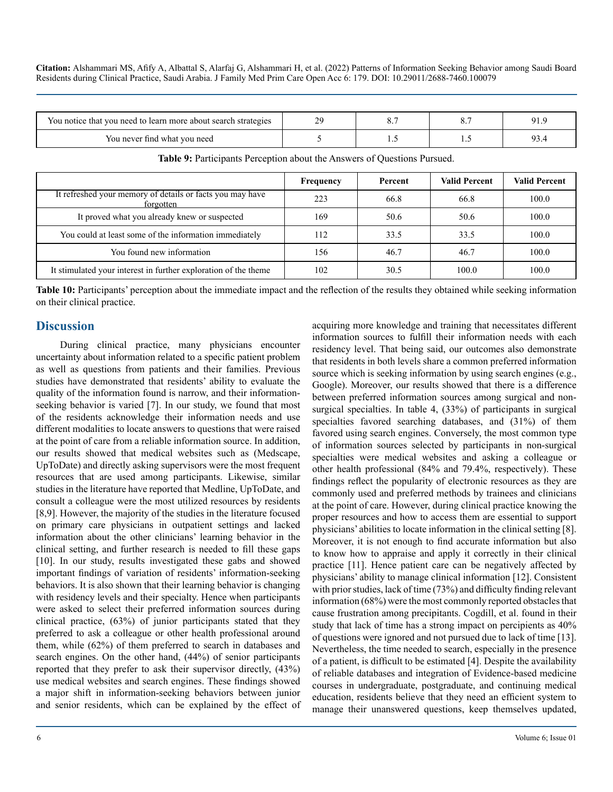| You notice that you need to learn more about search strategies |  |  |
|----------------------------------------------------------------|--|--|
| You never find what you need                                   |  |  |

|                                                                        | Frequency | Percent | <b>Valid Percent</b> | <b>Valid Percent</b> |
|------------------------------------------------------------------------|-----------|---------|----------------------|----------------------|
| It refreshed your memory of details or facts you may have<br>forgotten | 223       | 66.8    | 66.8                 | 100.0                |
| It proved what you already knew or suspected                           | 169       | 50.6    | 50.6                 | 100.0                |
| You could at least some of the information immediately                 | 112       | 33.5    | 33.5                 | 100.0                |
| You found new information                                              | l 56      | 46.7    | 46.7                 | 100.0                |
| It stimulated your interest in further exploration of the theme        | 102       | 30.5    | 100.0                | 100.0                |

**Table 9:** Participants Perception about the Answers of Questions Pursued.

**Table 10:** Participants' perception about the immediate impact and the reflection of the results they obtained while seeking information on their clinical practice.

#### **Discussion**

During clinical practice, many physicians encounter uncertainty about information related to a specific patient problem as well as questions from patients and their families. Previous studies have demonstrated that residents' ability to evaluate the quality of the information found is narrow, and their informationseeking behavior is varied [7]. In our study, we found that most of the residents acknowledge their information needs and use different modalities to locate answers to questions that were raised at the point of care from a reliable information source. In addition, our results showed that medical websites such as (Medscape, UpToDate) and directly asking supervisors were the most frequent resources that are used among participants. Likewise, similar studies in the literature have reported that Medline, UpToDate, and consult a colleague were the most utilized resources by residents [8,9]. However, the majority of the studies in the literature focused on primary care physicians in outpatient settings and lacked information about the other clinicians' learning behavior in the clinical setting, and further research is needed to fill these gaps [10]. In our study, results investigated these gabs and showed important findings of variation of residents' information-seeking behaviors. It is also shown that their learning behavior is changing with residency levels and their specialty. Hence when participants were asked to select their preferred information sources during clinical practice, (63%) of junior participants stated that they preferred to ask a colleague or other health professional around them, while (62%) of them preferred to search in databases and search engines. On the other hand, (44%) of senior participants reported that they prefer to ask their supervisor directly, (43%) use medical websites and search engines. These findings showed a major shift in information-seeking behaviors between junior and senior residents, which can be explained by the effect of

residency level. That being said, our outcomes also demonstrate that residents in both levels share a common preferred information source which is seeking information by using search engines (e.g., Google). Moreover, our results showed that there is a difference between preferred information sources among surgical and nonsurgical specialties. In table 4, (33%) of participants in surgical specialties favored searching databases, and (31%) of them favored using search engines. Conversely, the most common type of information sources selected by participants in non-surgical specialties were medical websites and asking a colleague or other health professional (84% and 79.4%, respectively). These findings reflect the popularity of electronic resources as they are commonly used and preferred methods by trainees and clinicians at the point of care. However, during clinical practice knowing the proper resources and how to access them are essential to support physicians' abilities to locate information in the clinical setting [8]. Moreover, it is not enough to find accurate information but also to know how to appraise and apply it correctly in their clinical practice [11]. Hence patient care can be negatively affected by physicians' ability to manage clinical information [12]. Consistent with prior studies, lack of time (73%) and difficulty finding relevant information (68%) were the most commonly reported obstacles that cause frustration among precipitants. Cogdill, et al. found in their study that lack of time has a strong impact on percipients as 40% of questions were ignored and not pursued due to lack of time [13]. Nevertheless, the time needed to search, especially in the presence of a patient, is difficult to be estimated [4]. Despite the availability of reliable databases and integration of Evidence-based medicine courses in undergraduate, postgraduate, and continuing medical education, residents believe that they need an efficient system to manage their unanswered questions, keep themselves updated,

acquiring more knowledge and training that necessitates different information sources to fulfill their information needs with each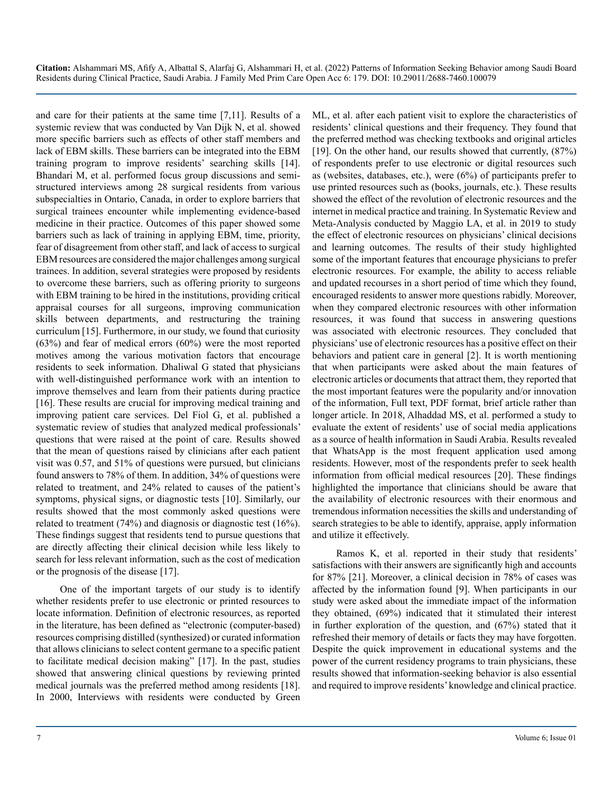and care for their patients at the same time [7,11]. Results of a systemic review that was conducted by Van Dijk N, et al. showed more specific barriers such as effects of other staff members and lack of EBM skills. These barriers can be integrated into the EBM training program to improve residents' searching skills [14]. Bhandari M, et al. performed focus group discussions and semistructured interviews among 28 surgical residents from various subspecialties in Ontario, Canada, in order to explore barriers that surgical trainees encounter while implementing evidence-based medicine in their practice. Outcomes of this paper showed some barriers such as lack of training in applying EBM, time, priority, fear of disagreement from other staff, and lack of access to surgical EBM resources are considered the major challenges among surgical trainees. In addition, several strategies were proposed by residents to overcome these barriers, such as offering priority to surgeons with EBM training to be hired in the institutions, providing critical appraisal courses for all surgeons, improving communication skills between departments, and restructuring the training curriculum [15]. Furthermore, in our study, we found that curiosity (63%) and fear of medical errors (60%) were the most reported motives among the various motivation factors that encourage residents to seek information. Dhaliwal G stated that physicians with well-distinguished performance work with an intention to improve themselves and learn from their patients during practice [16]. These results are crucial for improving medical training and improving patient care services. Del Fiol G, et al. published a systematic review of studies that analyzed medical professionals' questions that were raised at the point of care. Results showed that the mean of questions raised by clinicians after each patient visit was 0.57, and 51% of questions were pursued, but clinicians found answers to 78% of them. In addition, 34% of questions were related to treatment, and 24% related to causes of the patient's symptoms, physical signs, or diagnostic tests [10]. Similarly, our results showed that the most commonly asked questions were related to treatment (74%) and diagnosis or diagnostic test (16%). These findings suggest that residents tend to pursue questions that are directly affecting their clinical decision while less likely to search for less relevant information, such as the cost of medication or the prognosis of the disease [17].

One of the important targets of our study is to identify whether residents prefer to use electronic or printed resources to locate information. Definition of electronic resources, as reported in the literature, has been defined as "electronic (computer-based) resources comprising distilled (synthesized) or curated information that allows clinicians to select content germane to a specific patient to facilitate medical decision making" [17]. In the past, studies showed that answering clinical questions by reviewing printed medical journals was the preferred method among residents [18]. In 2000, Interviews with residents were conducted by Green

ML, et al. after each patient visit to explore the characteristics of residents' clinical questions and their frequency. They found that the preferred method was checking textbooks and original articles [19]. On the other hand, our results showed that currently,  $(87%)$ of respondents prefer to use electronic or digital resources such as (websites, databases, etc.), were (6%) of participants prefer to use printed resources such as (books, journals, etc.). These results showed the effect of the revolution of electronic resources and the internet in medical practice and training. In Systematic Review and Meta-Analysis conducted by Maggio LA, et al. in 2019 to study the effect of electronic resources on physicians' clinical decisions and learning outcomes. The results of their study highlighted some of the important features that encourage physicians to prefer electronic resources. For example, the ability to access reliable and updated recourses in a short period of time which they found, encouraged residents to answer more questions rabidly. Moreover, when they compared electronic resources with other information resources, it was found that success in answering questions was associated with electronic resources. They concluded that physicians' use of electronic resources has a positive effect on their behaviors and patient care in general [2]. It is worth mentioning that when participants were asked about the main features of electronic articles or documents that attract them, they reported that the most important features were the popularity and/or innovation of the information, Full text, PDF format, brief article rather than longer article. In 2018, Alhaddad MS, et al. performed a study to evaluate the extent of residents' use of social media applications as a source of health information in Saudi Arabia. Results revealed that WhatsApp is the most frequent application used among residents. However, most of the respondents prefer to seek health information from official medical resources [20]. These findings highlighted the importance that clinicians should be aware that the availability of electronic resources with their enormous and tremendous information necessities the skills and understanding of search strategies to be able to identify, appraise, apply information and utilize it effectively.

Ramos K, et al. reported in their study that residents' satisfactions with their answers are significantly high and accounts for 87% [21]. Moreover, a clinical decision in 78% of cases was affected by the information found [9]. When participants in our study were asked about the immediate impact of the information they obtained, (69%) indicated that it stimulated their interest in further exploration of the question, and (67%) stated that it refreshed their memory of details or facts they may have forgotten. Despite the quick improvement in educational systems and the power of the current residency programs to train physicians, these results showed that information-seeking behavior is also essential and required to improve residents' knowledge and clinical practice.